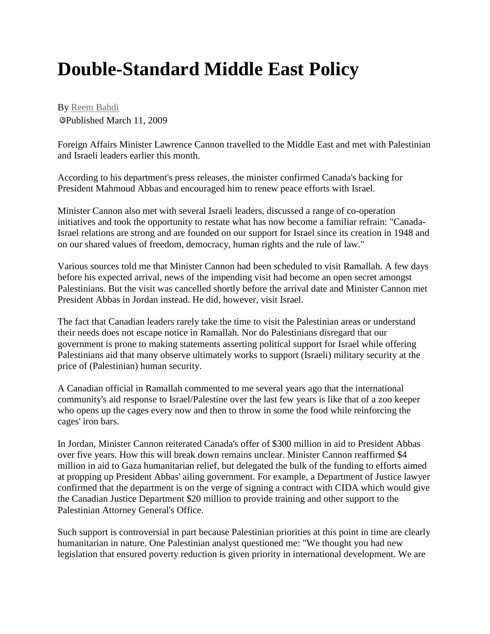## **Double-Standard Middle East Policy**

By [Reem Bahdi](http://embassymag.ca/column/author/272) Published March 11, 2009

Foreign Affairs Minister Lawrence Cannon travelled to the Middle East and met with Palestinian and Israeli leaders earlier this month.

According to his department's press releases, the minister confirmed Canada's backing for President Mahmoud Abbas and encouraged him to renew peace efforts with Israel.

Minister Cannon also met with several Israeli leaders, discussed a range of co-operation initiatives and took the opportunity to restate what has now become a familiar refrain: "Canada-Israel relations are strong and are founded on our support for Israel since its creation in 1948 and on our shared values of freedom, democracy, human rights and the rule of law."

Various sources told me that Minister Cannon had been scheduled to visit Ramallah. A few days before his expected arrival, news of the impending visit had become an open secret amongst Palestinians. But the visit was cancelled shortly before the arrival date and Minister Cannon met President Abbas in Jordan instead. He did, however, visit Israel.

The fact that Canadian leaders rarely take the time to visit the Palestinian areas or understand their needs does not escape notice in Ramallah. Nor do Palestinians disregard that our government is prone to making statements asserting political support for Israel while offering Palestinians aid that many observe ultimately works to support (Israeli) military security at the price of (Palestinian) human security.

A Canadian official in Ramallah commented to me several years ago that the international community's aid response to Israel/Palestine over the last few years is like that of a zoo keeper who opens up the cages every now and then to throw in some the food while reinforcing the cages' iron bars.

In Jordan, Minister Cannon reiterated Canada's offer of \$300 million in aid to President Abbas over five years. How this will break down remains unclear. Minister Cannon reaffirmed \$4 million in aid to Gaza humanitarian relief, but delegated the bulk of the funding to efforts aimed at propping up President Abbas' ailing government. For example, a Department of Justice lawyer confirmed that the department is on the verge of signing a contract with CIDA which would give the Canadian Justice Department \$20 million to provide training and other support to the Palestinian Attorney General's Office.

Such support is controversial in part because Palestinian priorities at this point in time are clearly humanitarian in nature. One Palestinian analyst questioned me: "We thought you had new legislation that ensured poverty reduction is given priority in international development. We are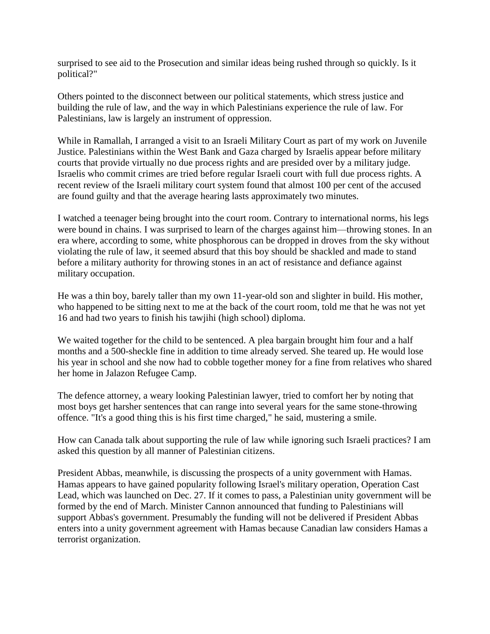surprised to see aid to the Prosecution and similar ideas being rushed through so quickly. Is it political?"

Others pointed to the disconnect between our political statements, which stress justice and building the rule of law, and the way in which Palestinians experience the rule of law. For Palestinians, law is largely an instrument of oppression.

While in Ramallah, I arranged a visit to an Israeli Military Court as part of my work on Juvenile Justice. Palestinians within the West Bank and Gaza charged by Israelis appear before military courts that provide virtually no due process rights and are presided over by a military judge. Israelis who commit crimes are tried before regular Israeli court with full due process rights. A recent review of the Israeli military court system found that almost 100 per cent of the accused are found guilty and that the average hearing lasts approximately two minutes.

I watched a teenager being brought into the court room. Contrary to international norms, his legs were bound in chains. I was surprised to learn of the charges against him—throwing stones. In an era where, according to some, white phosphorous can be dropped in droves from the sky without violating the rule of law, it seemed absurd that this boy should be shackled and made to stand before a military authority for throwing stones in an act of resistance and defiance against military occupation.

He was a thin boy, barely taller than my own 11-year-old son and slighter in build. His mother, who happened to be sitting next to me at the back of the court room, told me that he was not yet 16 and had two years to finish his tawjihi (high school) diploma.

We waited together for the child to be sentenced. A plea bargain brought him four and a half months and a 500-sheckle fine in addition to time already served. She teared up. He would lose his year in school and she now had to cobble together money for a fine from relatives who shared her home in Jalazon Refugee Camp.

The defence attorney, a weary looking Palestinian lawyer, tried to comfort her by noting that most boys get harsher sentences that can range into several years for the same stone-throwing offence. "It's a good thing this is his first time charged," he said, mustering a smile.

How can Canada talk about supporting the rule of law while ignoring such Israeli practices? I am asked this question by all manner of Palestinian citizens.

President Abbas, meanwhile, is discussing the prospects of a unity government with Hamas. Hamas appears to have gained popularity following Israel's military operation, Operation Cast Lead, which was launched on Dec. 27. If it comes to pass, a Palestinian unity government will be formed by the end of March. Minister Cannon announced that funding to Palestinians will support Abbas's government. Presumably the funding will not be delivered if President Abbas enters into a unity government agreement with Hamas because Canadian law considers Hamas a terrorist organization.